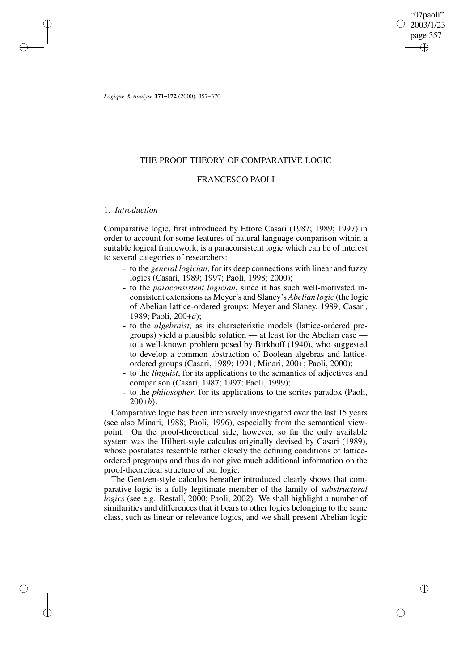"07paoli" 2003/1/23 page 357 ✐ ✐

✐

✐

*Logique & Analyse* **171–172** (2000), 357–370

# THE PROOF THEORY OF COMPARATIVE LOGIC

# FRANCESCO PAOLI

## 1. *Introduction*

✐

✐

✐

✐

Comparative logic, first introduced by Ettore Casari (1987; 1989; 1997) in order to account for some features of natural language comparison within a suitable logical framework, is a paraconsistent logic which can be of interest to several categories of researchers:

- to the *general logician*, for its deep connections with linear and fuzzy logics (Casari, 1989; 1997; Paoli, 1998; 2000);
- to the *paraconsistent logician*, since it has such well-motivated inconsistent extensions as Meyer's and Slaney's *Abelian logic* (the logic of Abelian lattice-ordered groups: Meyer and Slaney, 1989; Casari, 1989; Paoli, 200+*a*);
- to the *algebraist*, as its characteristic models (lattice-ordered pregroups) yield a plausible solution — at least for the Abelian case to a well-known problem posed by Birkhoff (1940), who suggested to develop a common abstraction of Boolean algebras and latticeordered groups (Casari, 1989; 1991; Minari, 200+; Paoli, 2000);
- to the *linguist*, for its applications to the semantics of adjectives and comparison (Casari, 1987; 1997; Paoli, 1999);
- to the *philosopher*, for its applications to the sorites paradox (Paoli,  $200+b$ ).

Comparative logic has been intensively investigated over the last 15 years (see also Minari, 1988; Paoli, 1996), especially from the semantical viewpoint. On the proof-theoretical side, however, so far the only available system was the Hilbert-style calculus originally devised by Casari (1989), whose postulates resemble rather closely the defining conditions of latticeordered pregroups and thus do not give much additional information on the proof-theoretical structure of our logic.

The Gentzen-style calculus hereafter introduced clearly shows that comparative logic is a fully legitimate member of the family of *substructural logics* (see e.g. Restall, 2000; Paoli, 2002). We shall highlight a number of similarities and differences that it bears to other logics belonging to the same class, such as linear or relevance logics, and we shall present Abelian logic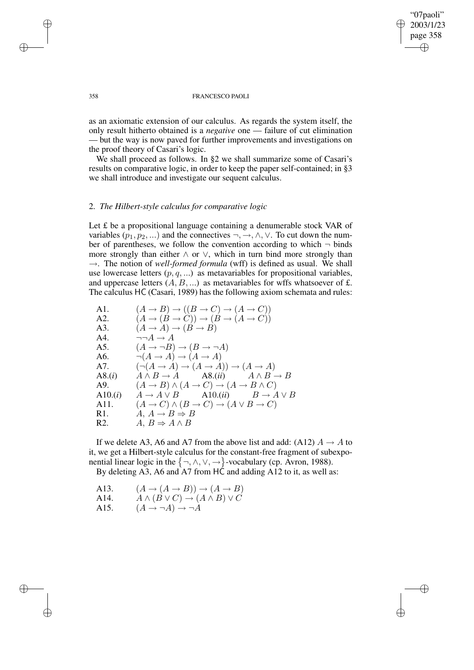✐

#### 358 FRANCESCO PAOLI

as an axiomatic extension of our calculus. As regards the system itself, the only result hitherto obtained is a *negative* one — failure of cut elimination — but the way is now paved for further improvements and investigations on the proof theory of Casari's logic.

We shall proceed as follows. In §2 we shall summarize some of Casari's results on comparative logic, in order to keep the paper self-contained; in §3 we shall introduce and investigate our sequent calculus.

## 2. *The Hilbert-style calculus for comparative logic*

Let  $f$  be a propositional language containing a denumerable stock VAR of variables  $(p_1, p_2, ...)$  and the connectives  $\neg, \rightarrow, \land, \lor$ . To cut down the number of parentheses, we follow the convention according to which  $\neg$  binds more strongly than either  $\land$  or  $\lor$ , which in turn bind more strongly than  $\rightarrow$ . The notion of *well-formed formula* (wff) is defined as usual. We shall use lowercase letters  $(p, q, ...)$  as metavariables for propositional variables, and uppercase letters  $(A, B, ...)$  as metavariables for wffs whatsoever of £. The calculus HC (Casari, 1989) has the following axiom schemata and rules:

| A1.              | $(A \rightarrow B) \rightarrow ((B \rightarrow C) \rightarrow (A \rightarrow C))$     |
|------------------|---------------------------------------------------------------------------------------|
| A2.              | $(A \rightarrow (B \rightarrow C)) \rightarrow (B \rightarrow (A \rightarrow C))$     |
| A3.              | $(A \rightarrow A) \rightarrow (B \rightarrow B)$                                     |
| A4.              | $\neg\neg A \rightarrow A$                                                            |
| A5.              | $(A \rightarrow \neg B) \rightarrow (B \rightarrow \neg A)$                           |
| A6.              | $\neg(A \to A) \to (A \to A)$                                                         |
| A7.              | $(\neg(A \rightarrow A) \rightarrow (A \rightarrow A)) \rightarrow (A \rightarrow A)$ |
| A8.(i)           | $A \wedge B \to A$ $AS.(ii)$ $A \wedge B \to B$                                       |
| A9.              | $(A \rightarrow B) \land (A \rightarrow C) \rightarrow (A \rightarrow B \land C)$     |
| A10.(i)          | $A \to A \lor B$ $\qquad$ A10.( <i>ii</i> ) $B \to A \lor B$                          |
| A11.             | $(A \to C) \land (B \to C) \to (A \lor B \to C)$                                      |
| R1.              | $A, A \rightarrow B \Rightarrow B$                                                    |
| R <sub>2</sub> . | $A, B \Rightarrow A \wedge B$                                                         |
|                  |                                                                                       |

If we delete A3, A6 and A7 from the above list and add: (A12)  $A \rightarrow A$  to it, we get a Hilbert-style calculus for the constant-free fragment of subexponential linear logic in the  $\{\neg, \wedge, \vee, \rightarrow\}$ -vocabulary (cp. Avron, 1988). By deleting A3, A6 and A7 from HC and adding A12 to it, as well as:

A13. 
$$
(A \rightarrow (A \rightarrow B)) \rightarrow (A \rightarrow B)
$$
  
A14. 
$$
A \land (B \lor C) \rightarrow (A \land B) \lor C
$$

A15.  $(A \rightarrow \neg A) \rightarrow \neg A$ 

✐

✐

✐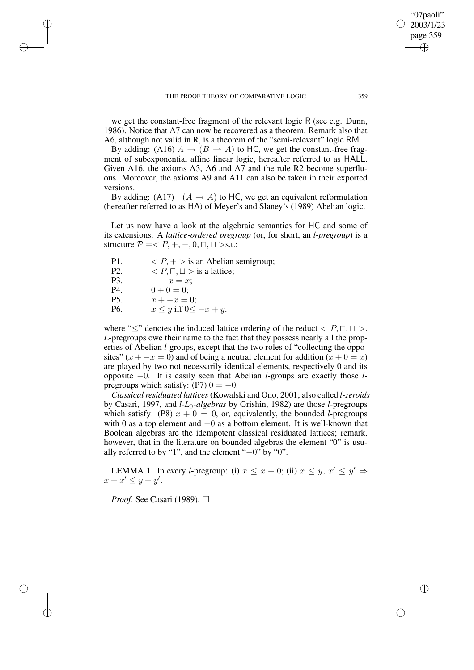THE PROOF THEORY OF COMPARATIVE LOGIC 359

we get the constant-free fragment of the relevant logic R (see e.g. Dunn, 1986). Notice that A7 can now be recovered as a theorem. Remark also that A6, although not valid in R, is a theorem of the "semi-relevant" logic RM.

By adding: (A16)  $A \rightarrow (B \rightarrow A)$  to HC, we get the constant-free fragment of subexponential affine linear logic, hereafter referred to as HALL. Given A16, the axioms A3, A6 and A7 and the rule R2 become superfluous. Moreover, the axioms A9 and A11 can also be taken in their exported versions.

By adding: (A17)  $\neg(A \rightarrow A)$  to HC, we get an equivalent reformulation (hereafter referred to as HA) of Meyer's and Slaney's (1989) Abelian logic.

Let us now have a look at the algebraic semantics for HC and some of its extensions. A *lattice-ordered pregroup* (or, for short, an *l-pregroup*) is a structure  $P = < P, +, -, 0, \Box, \Box >$ s.t.:

| P <sub>1</sub> . | $\langle P, +\rangle$ is an Abelian semigroup; |
|------------------|------------------------------------------------|
| P <sub>2</sub> . | $\langle P,\sqcap,\sqcup\rangle$ is a lattice; |
| P3.              | $ -x = x$ ;                                    |
| P4.              | $0 + 0 = 0$ :                                  |
| P <sub>5</sub> . | $x + -x = 0$ :                                 |
| P <sub>6</sub> . | $x \leq y$ iff $0 \leq -x + y$ .               |

✐

✐

✐

✐

where " $\leq$ " denotes the induced lattice ordering of the reduct  $\lt P, \Box, \Box$ . *L*-pregroups owe their name to the fact that they possess nearly all the properties of Abelian *l*-groups, except that the two roles of "collecting the opposites"  $(x + -x = 0)$  and of being a neutral element for addition  $(x + 0 = x)$ are played by two not necessarily identical elements, respectively 0 and its opposite −0. It is easily seen that Abelian *l*-groups are exactly those *l*pregroups which satisfy: (P7)  $0 = -0$ .

*Classical residuated lattices* (Kowalski and Ono, 2001; also called *l-zeroids* by Casari, 1997, and *l-L*0*-algebras* by Grishin, 1982) are those *l*-pregroups which satisfy: (P8)  $x + 0 = 0$ , or, equivalently, the bounded *l*-pregroups with 0 as a top element and −0 as a bottom element. It is well-known that Boolean algebras are the idempotent classical residuated lattices; remark, however, that in the literature on bounded algebras the element "0" is usually referred to by "1", and the element "−0" by "0".

LEMMA 1. In every *l*-pregroup: (i)  $x \leq x + 0$ ; (ii)  $x \leq y$ ,  $x' \leq y' \Rightarrow$  $x + x' \leq y + y'.$ 

*Proof.* See Casari (1989). □

"07paoli" 2003/1/23 page 359

✐

✐

✐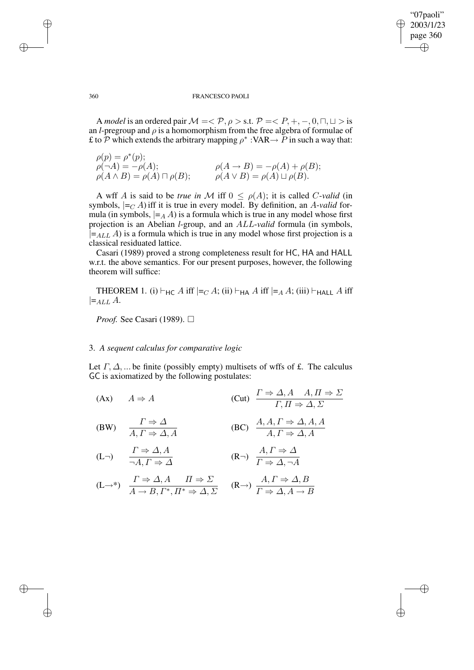"07paoli" 2003/1/23 page 360 ✐ ✐

✐

✐

### 360 FRANCESCO PAOLI

A *model* is an ordered pair  $M = \langle P, \rho \rangle$  s.t.  $P = \langle P, +, -, 0, \sqcap, \sqcup \rangle$  is an *l*-pregroup and  $\rho$  is a homomorphism from the free algebra of formulae of £ to  $\tilde{P}$  which extends the arbitrary mapping  $\rho^*$  : VAR  $\rightarrow$   $\tilde{P}$  in such a way that:

$$
\rho(p) = \rho^*(p);
$$
  
\n
$$
\rho(\neg A) = -\rho(A);
$$
  
\n
$$
\rho(A \land B) = \rho(A) \sqcap \rho(B);
$$
  
\n
$$
\rho(A \lor B) = \rho(A) \sqcup \rho(B).
$$
  
\n
$$
\rho(A \lor B) = \rho(A) \sqcup \rho(B).
$$

A wff A is said to be *true* in M iff  $0 \le \rho(A)$ ; it is called C-*valid* (in symbols,  $\vert =_C A$ ) iff it is true in every model. By definition, an A-valid formula (in symbols,  $\vert =_A A$ ) is a formula which is true in any model whose first projection is an Abelian *l*-group, and an ALL-*valid* formula (in symbols,  $|=_{ALL} A$ ) is a formula which is true in any model whose first projection is a classical residuated lattice.

Casari (1989) proved a strong completeness result for HC, HA and HALL w.r.t. the above semantics. For our present purposes, however, the following theorem will suffice:

THEOREM 1. (i)  $\vdash_{HC} A$  iff  $\vdash_{C} A$ ; (ii)  $\vdash_{HA} A$  iff  $\vdash_{A} A$ ; (iii)  $\vdash_{HALL} A$  iff  $\models$ <sub>ALL</sub> A.

*Proof.* See Casari (1989). □

## 3. *A sequent calculus for comparative logic*

Let  $\Gamma$ ,  $\Delta$ , ... be finite (possibly empty) multisets of wffs of £. The calculus GC is axiomatized by the following postulates:

(Ax) 
$$
A \Rightarrow A
$$
 (Cut)  $\frac{\Gamma \Rightarrow \Delta, A \quad A, \Pi \Rightarrow \Sigma}{\Gamma, \Pi \Rightarrow \Delta, \Sigma}$   
\n(BW)  $\frac{\Gamma \Rightarrow \Delta}{A, \Gamma \Rightarrow \Delta, A}$  (BC)  $\frac{A, A, \Gamma \Rightarrow \Delta, A, A}{A, \Gamma \Rightarrow \Delta, A}$   
\n(L<sub>-)</sub>  $\frac{\Gamma \Rightarrow \Delta, A}{\neg A, \Gamma \Rightarrow \Delta}$  (R<sub>-</sub>)  $\frac{A, \Gamma \Rightarrow \Delta}{\Gamma \Rightarrow \Delta, \neg A}$   
\n(L<sub>-\*)</sub>  $\frac{\Gamma \Rightarrow \Delta, A \quad \Pi \Rightarrow \Sigma}{A \rightarrow B, \Gamma^*, \Pi^* \Rightarrow \Delta, \Sigma}$  (R<sub>-)</sub>  $\frac{A, \Gamma \Rightarrow \Delta, B}{\Gamma \Rightarrow \Delta, A \rightarrow B}$ 

 $\Gamma \Rightarrow \Delta, A \rightarrow B$ 

✐

✐

✐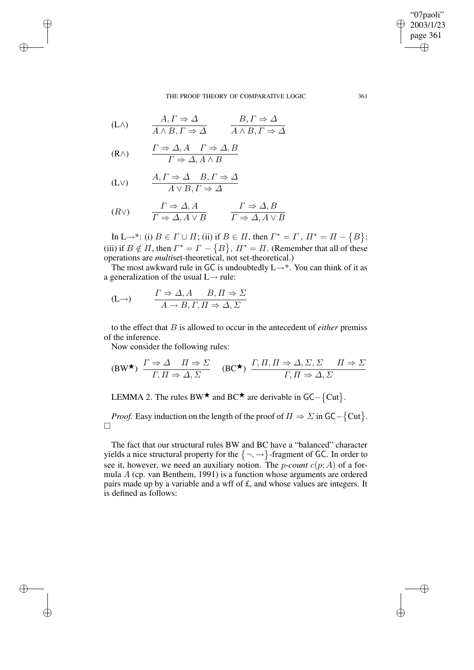#### THE PROOF THEORY OF COMPARATIVE LOGIC 361

$$
(L \wedge) \qquad \frac{A, \Gamma \Rightarrow \Delta}{A \wedge B, \Gamma \Rightarrow \Delta} \qquad \frac{B, \Gamma \Rightarrow \Delta}{A \wedge B, \Gamma \Rightarrow \Delta}
$$

$$
(R \wedge) \qquad \frac{\Gamma \Rightarrow \Delta, A \quad \Gamma \Rightarrow \Delta, B}{\Gamma \Rightarrow \Delta, A \wedge B}
$$

✐

✐

✐

✐

$$
(L \vee) \qquad \begin{array}{c} A, \Gamma \Rightarrow \Delta \quad B, \Gamma \Rightarrow \Delta \\ A \vee B, \Gamma \Rightarrow \Delta \end{array}
$$

$$
(R \vee) \qquad \frac{\Gamma \Rightarrow \Delta, A}{\Gamma \Rightarrow \Delta, A \vee B} \qquad \frac{\Gamma \Rightarrow \Delta, B}{\Gamma \Rightarrow \Delta, A \vee B}
$$

In L $\rightarrow^*$ : (i)  $B \in \Gamma \cup \Pi$ ; (ii) if  $B \in \Pi$ , then  $\Gamma^* = \Gamma$ ,  $\Pi^* = \Pi - \{B\}$ ; (iii) if  $B \notin \Pi$ , then  $\Gamma^* = \Gamma - \{B\}$ ,  $\Pi^* = \Pi$ . (Remember that all of these operations are *multi*set-theoretical, not set-theoretical.)

The most awkward rule in GC is undoubtedly  $L \rightarrow^*$ . You can think of it as a generalization of the usual  $L \rightarrow$  rule:

$$
(L \rightarrow) \qquad \frac{\Gamma \Rightarrow \Delta, A \qquad B, \Pi \Rightarrow \Sigma}{A \rightarrow B, \Gamma, \Pi \Rightarrow \Delta, \Sigma}
$$

to the effect that B is allowed to occur in the antecedent of *either* premiss of the inference.

Now consider the following rules:

$$
\text{(BW*)}\ \frac{\Gamma \Rightarrow \Delta\ \ \Pi \Rightarrow \Sigma}{\Gamma, \Pi \Rightarrow \Delta, \Sigma} \quad \text{(BC*)}\ \frac{\Gamma, \Pi, \Pi \Rightarrow \Delta, \Sigma, \Sigma\ \ \Pi \Rightarrow \Sigma}{\Gamma, \Pi \Rightarrow \Delta, \Sigma}
$$

LEMMA 2. The rules BW  $\star$  and BC $\star$  are derivable in GC– $\{Cut\}$ .

*Proof.* Easy induction on the length of the proof of  $\Pi \Rightarrow \Sigma$  in  $GC - \{Cut\}$ .  $\Box$ 

The fact that our structural rules BW and BC have a "balanced" character yields a nice structural property for the  $\{\neg, \rightarrow\}$ -fragment of GC. In order to see it, however, we need an auxiliary notion. The *p-count*  $c(p; A)$  of a formula A (cp. van Benthem, 1991) is a function whose arguments are ordered pairs made up by a variable and a wff of £, and whose values are integers. It is defined as follows:

## "07paoli" 2003/1/23 page 361 ✐ ✐

✐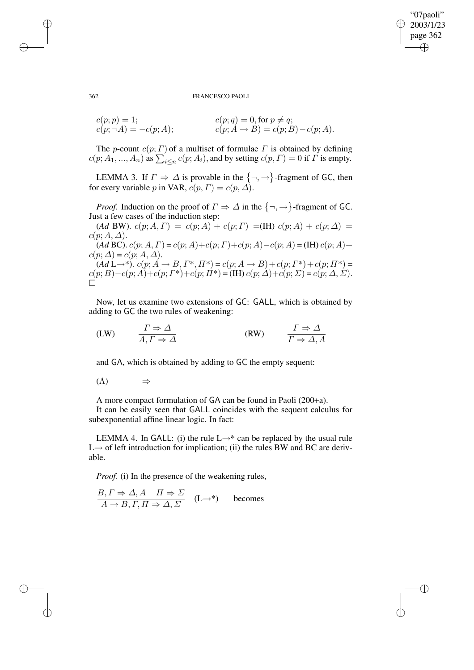"07paoli" 2003/1/23 page 362 ✐ ✐

✐

✐

#### 362 FRANCESCO PAOLI

$$
c(p; p) = 1; \nc(p; \neg A) = -c(p; A); \nc(p; A \rightarrow B) = c(p; B) - c(p; A).
$$

The p-count  $c(p; \Gamma)$  of a multiset of formulae  $\Gamma$  is obtained by defining  $c(p; A_1, ..., A_n)$  as  $\sum_{i \leq n} c(p; A_i)$ , and by setting  $c(p, \Gamma) = 0$  if  $\Gamma$  is empty.

LEMMA 3. If  $\Gamma \Rightarrow \Delta$  is provable in the  $\{\neg, \rightarrow\}$ -fragment of GC, then for every variable p in VAR,  $c(p, \Gamma) = c(p, \Delta)$ .

*Proof.* Induction on the proof of  $\Gamma \Rightarrow \Delta$  in the  $\{\neg, \rightarrow\}$ -fragment of GC. Just a few cases of the induction step:

(*Ad* BW).  $c(p; A, \Gamma) = c(p; A) + c(p; \Gamma) = (IH) c(p; A) + c(p; \Delta) =$  $c(p; A, \Delta)$ . (*Ad* BC).  $c(p; A, \Gamma) = c(p; A) + c(p; \Gamma) + c(p; A) - c(p; A) = (IH) c(p; A) +$  $c(p; \Delta) = c(p; A, \Delta).$  $(AdL \rightarrow^*)$ .  $c(p; A \rightarrow B, \Gamma^*, \Pi^*) = c(p; A \rightarrow B) + c(p; \Gamma^*) + c(p; \Pi^*) =$  $c(p; B) - c(p; A) + c(p; \Gamma^*) + c(p; \Pi^*) = (\text{IH}) c(p; \Delta) + c(p; \Sigma) = c(p; \Delta, \Sigma).$  $\Box$ 

Now, let us examine two extensions of GC: GALL, which is obtained by adding to GC the two rules of weakening:

$$
\text{(LW)} \qquad \frac{\Gamma \Rightarrow \Delta}{A, \Gamma \Rightarrow \Delta} \qquad \qquad \text{(RW)} \qquad \frac{\Gamma \Rightarrow \Delta}{\Gamma \Rightarrow \Delta, A}
$$

and GA, which is obtained by adding to GC the empty sequent:

$$
(\Lambda) \qquad \Rightarrow
$$

A more compact formulation of GA can be found in Paoli (200+a).

It can be easily seen that GALL coincides with the sequent calculus for subexponential affine linear logic. In fact:

LEMMA 4. In GALL: (i) the rule  $L \rightarrow^*$  can be replaced by the usual rule  $L \rightarrow$  of left introduction for implication; (ii) the rules BW and BC are derivable.

*Proof.* (i) In the presence of the weakening rules,

$$
\frac{B, \Gamma \Rightarrow \Delta, A \quad \Pi \Rightarrow \Sigma}{A \rightarrow B, \Gamma, \Pi \Rightarrow \Delta, \Sigma} \quad (\mathbf{L} \rightarrow^*)
$$
 becomes

✐

✐

✐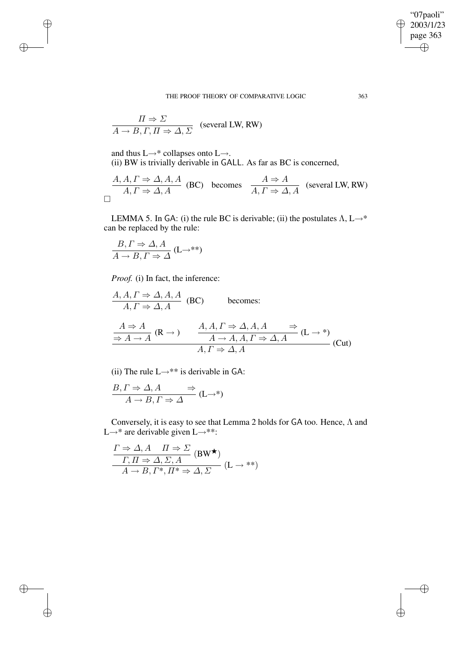"07paoli"  $\geq 2003/1/23$ page 363  $\bigoplus$ 

✐

✐

THE PROOF THEORY OF COMPARATIVE LOGIC 363

$$
\frac{\Pi \Rightarrow \Sigma}{A \rightarrow B, \Gamma, \Pi \Rightarrow \Delta, \Sigma}
$$
 (several LW, RW)

and thus L→\* collapses onto L→.

✐

✐

 $\oplus$ 

✐

(ii) BW is trivially derivable in GALL. As far as BC is concerned,

$$
\frac{A, A, \Gamma \Rightarrow \Delta, A, A}{A, \Gamma \Rightarrow \Delta, A}
$$
 (BC) becomes 
$$
\frac{A \Rightarrow A}{A, \Gamma \Rightarrow \Delta, A}
$$
 (several LW, RW)

LEMMA 5. In GA: (i) the rule BC is derivable; (ii) the postulates  $\Lambda$ , L $\rightarrow^*$ can be replaced by the rule:

$$
\frac{B,\Gamma \Rightarrow \Delta, A}{A \to B, \Gamma \Rightarrow \Delta} \text{ (L}\to^{**})
$$

*Proof.* (i) In fact, the inference:

$$
\frac{A, A, \Gamma \Rightarrow \Delta, A, A}{A, \Gamma \Rightarrow \Delta, A}
$$
 (BC) becomes:  

$$
\frac{A \Rightarrow A}{\Rightarrow A \rightarrow A} (\mathbb{R} \rightarrow) \qquad \frac{A, A, \Gamma \Rightarrow \Delta, A, A \Rightarrow}{A \rightarrow A, A, \Gamma \Rightarrow \Delta, A} (\mathbb{L} \rightarrow^*)
$$

$$
\frac{A, \Gamma \Rightarrow \Delta, A}{A, \Gamma \Rightarrow \Delta, A} (\text{Cut})
$$

(ii) The rule  $L \rightarrow$ \*\* is derivable in GA:

$$
\frac{B,\Gamma \Rightarrow \Delta, A \Rightarrow A \Rightarrow A \Rightarrow A \Rightarrow B, \Gamma \Rightarrow \Delta} (L \rightarrow^*)
$$

Conversely, it is easy to see that Lemma 2 holds for GA too. Hence, Λ and L→\* are derivable given L→\*\*:

$$
\frac{\Gamma \Rightarrow \Delta, A \quad \Pi \Rightarrow \Sigma}{\Gamma, \Pi \Rightarrow \Delta, \Sigma, A} \text{ (BW*)}
$$

$$
A \rightarrow B, \Gamma^*, \Pi^* \Rightarrow \Delta, \Sigma
$$

$$
(L \rightarrow **)
$$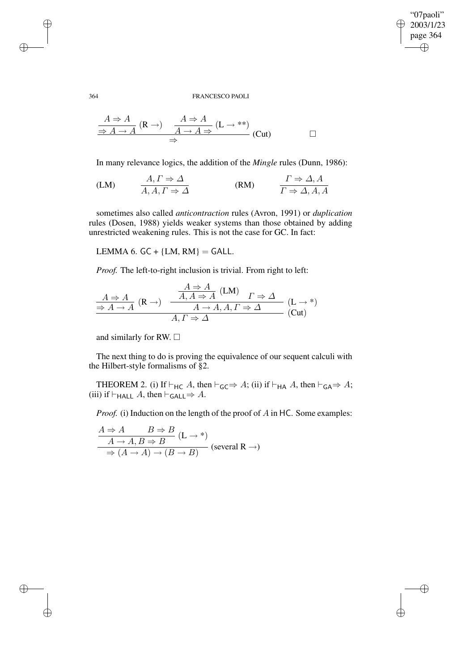"07paoli" 2003/1/23 page 364 ✐ ✐

✐

✐

## 364 FRANCESCO PAOLI

$$
\frac{A \Rightarrow A}{\Rightarrow A \to A} (\mathbf{R} \to) \quad \frac{A \Rightarrow A}{A \to A \Rightarrow} (\mathbf{L} \to^{**})
$$
\n
$$
\Rightarrow \qquad \qquad \Box
$$

In many relevance logics, the addition of the *Mingle* rules (Dunn, 1986):

$$
(LM) \t\t A, I \Rightarrow \Delta
$$
  
\n
$$
A, A, \Gamma \Rightarrow \Delta
$$
  
\n
$$
(RM) \t\t \Gamma \Rightarrow \Delta, A
$$
  
\n
$$
\Gamma \Rightarrow \Delta, A, A
$$

sometimes also called *anticontraction* rules (Avron, 1991) or *duplication* rules (Dosen, 1988) yields weaker systems than those obtained by adding unrestricted weakening rules. This is not the case for GC. In fact:

LEMMA 6.  $GC + \{LM, RM\} = GALL$ .

*Proof.* The left-to-right inclusion is trivial. From right to left:

$$
\frac{A \Rightarrow A}{\Rightarrow A \to A} \text{ (R \to)} \quad \frac{\frac{A \Rightarrow A}{A, A \Rightarrow A} \text{ (LM)}}{A \to A, A, \Gamma \Rightarrow \Delta} \text{ (L \to*)}
$$
\n
$$
\frac{A \Rightarrow A}{A, \Gamma \Rightarrow \Delta} \text{ (L \to*)}
$$

and similarly for RW.  $\Box$ 

The next thing to do is proving the equivalence of our sequent calculi with the Hilbert-style formalisms of §2.

THEOREM 2. (i) If  $\vdash_{HC} A$ , then  $\vdash_{GC} \Rightarrow A$ ; (ii) if  $\vdash_{HA} A$ , then  $\vdash_{GA} \Rightarrow A$ ; (iii) if  $\vdash_{\mathsf{HALL}} A$ , then  $\vdash_{\mathsf{GALL}} \Rightarrow A$ .

*Proof.* (i) Induction on the length of the proof of A in HC. Some examples:

$$
\frac{A \Rightarrow A \qquad B \Rightarrow B}{A \to A, B \Rightarrow B} \text{ (L} \to^*)
$$
  

$$
\Rightarrow (A \to A) \to (B \to B)
$$
 (several R \to)

✐

✐

✐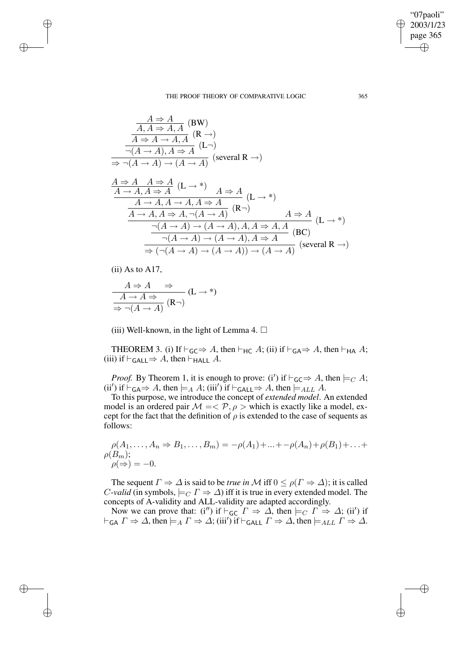$$
\frac{A \Rightarrow A}{A, A \Rightarrow A, A}
$$
 (BW)  
\n
$$
\frac{A \Rightarrow A \to A, A}{\neg(A \to A), A \Rightarrow A}
$$
 (R  $\to$ )  
\n
$$
\frac{\neg(A \to A), A \Rightarrow A}{\Rightarrow \neg(A \to A) \to (A \to A)}
$$
 (several R  $\to$ )

$$
\frac{A \Rightarrow A \quad A \Rightarrow A}{A \rightarrow A, A \Rightarrow A} (\mathbf{L} \rightarrow^*) \quad A \Rightarrow A}{A \rightarrow A, A \rightarrow A, A \Rightarrow A} (\mathbf{L} \rightarrow^*)
$$
\n
$$
\frac{A \rightarrow A, A \rightarrow A, A \Rightarrow A}{A \rightarrow A, A \Rightarrow A, \neg(A \rightarrow A)} (\mathbf{R} \rightarrow^*) \quad A \Rightarrow A}{\neg(A \rightarrow A) \rightarrow (A \rightarrow A), A, A \Rightarrow A, A} (\mathbf{B} \mathbf{C})
$$
\n
$$
\frac{\neg(A \rightarrow A) \rightarrow (A \rightarrow A), A \Rightarrow A}{\Rightarrow (\neg(A \rightarrow A) \rightarrow (A \rightarrow A)) \rightarrow (A \rightarrow A)} (\text{several } \mathbf{R} \rightarrow^*)
$$

(ii) As to A17,

✐

✐

✐

✐

$$
\frac{A \Rightarrow A \Rightarrow}{A \to A \Rightarrow} (\mathbf{L} \to^*)
$$
  

$$
\Rightarrow \neg(A \to A) (\mathbf{R} \to^*)
$$

(iii) Well-known, in the light of Lemma 4.  $\Box$ 

THEOREM 3. (i) If  $\vdash_{\mathsf{GC}} \Rightarrow A$ , then  $\vdash_{\mathsf{HC}} A$ ; (ii) if  $\vdash_{\mathsf{GA}} \Rightarrow A$ , then  $\vdash_{\mathsf{HA}} A$ ; (iii) if  $\vdash_{\mathsf{GALL}} \Rightarrow A$ , then  $\vdash_{\mathsf{HALL}} A$ .

*Proof.* By Theorem 1, it is enough to prove: (i') if  $\vdash_{\mathsf{GC}} \Rightarrow A$ , then  $\models_C A$ ; (ii') if  $\vdash_{\mathsf{GA}} \Rightarrow A$ , then  $\models_A A$ ; (iii') if  $\vdash_{\mathsf{GALL}} \Rightarrow A$ , then  $\models_{ALL} A$ .

To this purpose, we introduce the concept of *extended model*. An extended model is an ordered pair  $M = \langle P, \rho \rangle$  which is exactly like a model, except for the fact that the definition of  $\rho$  is extended to the case of sequents as follows:

$$
\rho(A_1, ..., A_n \Rightarrow B_1, ..., B_m) = -\rho(A_1) + ... + -\rho(A_n) + \rho(B_1) + ... + \rho(B_m);
$$
  

$$
\rho(\Rightarrow) = -0.
$$

The sequent  $\Gamma \Rightarrow \Delta$  is said to be *true* in M iff  $0 \le \rho(\Gamma \Rightarrow \Delta)$ ; it is called *C*-*valid* (in symbols,  $\models_C \Gamma \Rightarrow \Delta$ ) iff it is true in every extended model. The concepts of A-validity and ALL-validity are adapted accordingly.

Now we can prove that: (i'') if  $\vdash_{\mathsf{GC}} \Gamma \Rightarrow \Delta$ , then  $\models_C \Gamma \Rightarrow \Delta$ ; (ii') if  $\vdash_{\mathsf{GA}} \Gamma \Rightarrow \Delta$ , then  $\models_A \Gamma \Rightarrow \Delta$ ; (iii') if  $\vdash_{\mathsf{GALL}} \Gamma \Rightarrow \Delta$ , then  $\models_{ALL} \Gamma \Rightarrow \Delta$ .

"07paoli" 2003/1/23 page 365

✐

✐

✐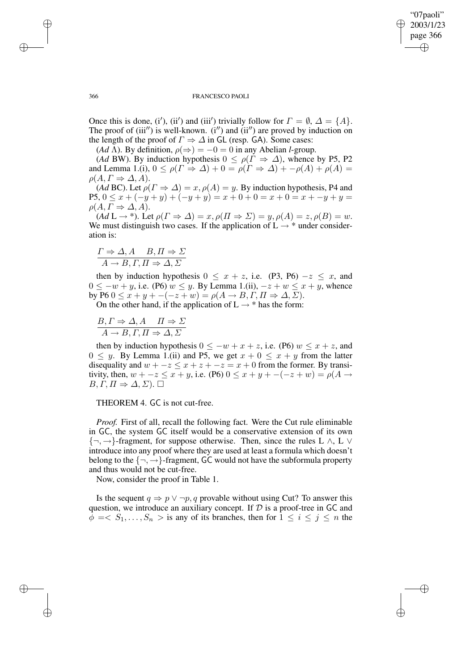✐

#### 366 FRANCESCO PAOLI

Once this is done, (i'), (ii') and (iii') trivially follow for  $\Gamma = \emptyset$ ,  $\Delta = \{A\}$ . The proof of (iii") is well-known.  $(i'')$  and (ii") are proved by induction on the length of the proof of  $\Gamma \Rightarrow \Delta$  in GL (resp. GA). Some cases:

(*Ad*  $\Lambda$ ). By definition,  $\rho(\Rightarrow) = -0 = 0$  in any Abelian *l*-group.

(*Ad* BW). By induction hypothesis  $0 \le \rho(\Gamma \Rightarrow \Delta)$ , whence by P5, P2 and Lemma 1.(i),  $0 \leq \rho(\Gamma \Rightarrow \Delta) + 0 = \rho(\Gamma \Rightarrow \Delta) + -\rho(A) + \rho(A) =$  $\rho(A, \Gamma \Rightarrow \Delta, A).$ 

(*Ad* BC). Let  $\rho(\Gamma \Rightarrow \Delta) = x$ ,  $\rho(A) = y$ . By induction hypothesis, P4 and P5,  $0 \leq x + (-y + y) + (-y + y) = x + 0 + 0 = x + 0 = x + -y + y =$  $\rho(A, \Gamma \Rightarrow \Delta, A).$ 

 $(Ad\mathsf{L}\to^*)$ . Let  $\rho(\Gamma\Rightarrow\Delta)=x, \rho(\Pi\Rightarrow\Sigma)=y, \rho(A)=z, \rho(B)=w$ . We must distinguish two cases. If the application of  $L \rightarrow$  \* under consideration is:

$$
\frac{\Gamma \Rightarrow \Delta, A \quad B, \Pi \Rightarrow \Sigma}{A \rightarrow B, \Gamma, \Pi \Rightarrow \Delta, \Sigma}
$$

then by induction hypothesis  $0 \le x + z$ , i.e. (P3, P6)  $-z \le x$ , and  $0 \leq -w + y$ , i.e. (P6)  $w \leq y$ . By Lemma 1.(ii),  $-z + w \leq x + y$ , whence by P6  $0 \leq x + y + -(-z + w) = \rho(A \rightarrow B, \Gamma, \Pi \Rightarrow \Delta, \Sigma).$ 

On the other hand, if the application of  $L \rightarrow *$  has the form:

$$
\frac{B, \Gamma \Rightarrow \Delta, A \quad \Pi \Rightarrow \Sigma}{A \rightarrow B, \Gamma, \Pi \Rightarrow \Delta, \Sigma}
$$

then by induction hypothesis  $0 \le -w + x + z$ , i.e. (P6)  $w \le x + z$ , and  $0 \leq y$ . By Lemma 1.(ii) and P5, we get  $x + 0 \leq x + y$  from the latter disequality and  $w + -z \leq x + z + -z = x + 0$  from the former. By transitivity, then,  $w + -z \le x + y$ , i.e. (P6)  $0 \le x + y + -(-z + w) = \rho(A \rightarrow$  $B, \Gamma, \Pi \Rightarrow \Delta, \Sigma$ ).

THEOREM 4. GC is not cut-free.

*Proof.* First of all, recall the following fact. Were the Cut rule eliminable in GC, the system GC itself would be a conservative extension of its own  ${\neg, \rightarrow}$ -fragment, for suppose otherwise. Then, since the rules L  $\land$ , L  $\lor$ introduce into any proof where they are used at least a formula which doesn't belong to the  $\{\neg, \rightarrow\}$ -fragment, GC would not have the subformula property and thus would not be cut-free.

Now, consider the proof in Table 1.

Is the sequent  $q \Rightarrow p \lor \neg p$ , q provable without using Cut? To answer this question, we introduce an auxiliary concept. If  $D$  is a proof-tree in GC and  $\bar{\phi}$  = <  $S_1, \ldots, S_n$  > is any of its branches, then for  $1 \leq i \leq j \leq n$  the

✐

✐

✐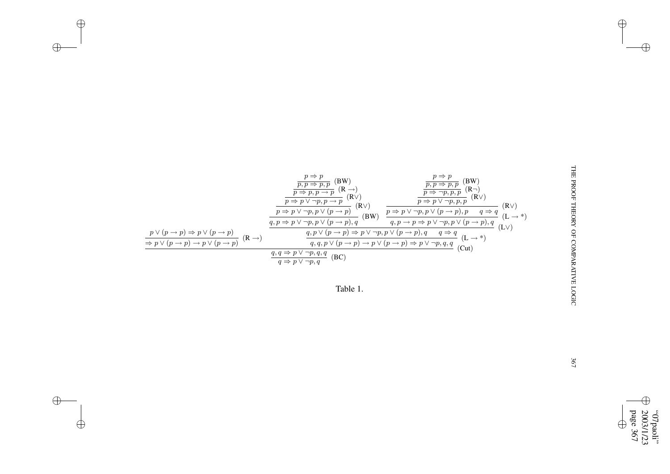

 $\bigoplus$ 

 $\bigoplus$ 

✐

 $\bigoplus$ 

✐

✐

page 2003/1/23 "07paoli" 367  $\bigoplus$ ✐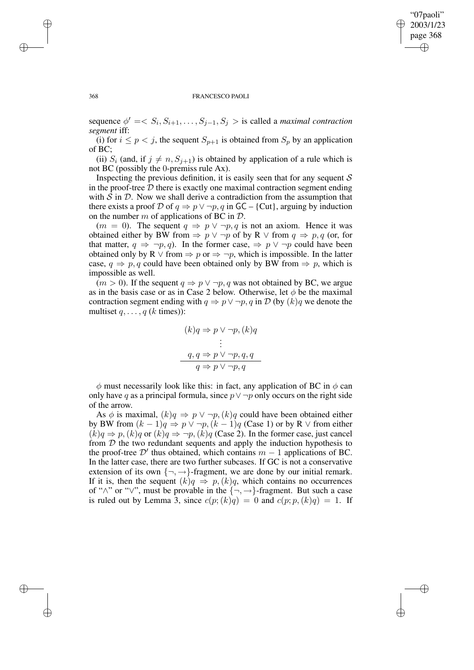✐

#### 368 FRANCESCO PAOLI

sequence  $\phi' = \langle S_i, S_{i+1}, \dots, S_{j-1}, S_j \rangle$  is called a *maximal contraction segment* iff:

(i) for  $i \leq p \lt j$ , the sequent  $S_{p+1}$  is obtained from  $S_p$  by an application of BC;

(ii)  $S_i$  (and, if  $j \neq n, S_{j+1}$ ) is obtained by application of a rule which is not BC (possibly the 0-premiss rule Ax).

Inspecting the previous definition, it is easily seen that for any sequent  $S$ in the proof-tree  $D$  there is exactly one maximal contraction segment ending with  $S$  in  $D$ . Now we shall derive a contradiction from the assumption that there exists a proof D of  $q \Rightarrow p \vee \neg p, q$  in GC – {Cut}, arguing by induction on the number m of applications of BC in  $\mathcal{D}$ .

 $(m = 0)$ . The sequent  $q \Rightarrow p \vee \neg p, q$  is not an axiom. Hence it was obtained either by BW from  $\Rightarrow p \lor \neg p$  of by R  $\lor$  from  $q \Rightarrow p, q$  (or, for that matter,  $q \Rightarrow \neg p, q$ . In the former case,  $\Rightarrow p \lor \neg p$  could have been obtained only by R  $\vee$  from  $\Rightarrow$  p or  $\Rightarrow \neg p$ , which is impossible. In the latter case,  $q \Rightarrow p, q$  could have been obtained only by BW from  $\Rightarrow p$ , which is impossible as well.

 $(m > 0)$ . If the sequent  $q \Rightarrow p \lor \neg p$ , q was not obtained by BC, we argue as in the basis case or as in Case 2 below. Otherwise, let  $\phi$  be the maximal contraction segment ending with  $q \Rightarrow p \lor \neg p$ , q in D (by  $(k)q$  we denote the multiset  $q, \ldots, q$  ( $k$  times)):

$$
(k)q \Rightarrow p \lor \neg p, (k)q
$$
  
\n
$$
\vdots
$$
  
\n
$$
q, q \Rightarrow p \lor \neg p, q, q
$$
  
\n
$$
q \Rightarrow p \lor \neg p, q
$$

 $\phi$  must necessarily look like this: in fact, any application of BC in  $\phi$  can only have q as a principal formula, since  $p \vee \neg p$  only occurs on the right side of the arrow.

As  $\phi$  is maximal,  $(k)q \Rightarrow p \vee \neg p$ ,  $(k)q$  could have been obtained either by BW from  $(k - 1)q \Rightarrow p \vee \neg p$ ,  $(k - 1)q$  (Case 1) or by R  $\vee$  from either  $(k)q \Rightarrow p, (k)q$  or  $(k)q \Rightarrow \neg p, (k)q$  (Case 2). In the former case, just cancel from  $D$  the two redundant sequents and apply the induction hypothesis to the proof-tree  $\mathcal{D}'$  thus obtained, which contains  $m - 1$  applications of BC. In the latter case, there are two further subcases. If GC is not a conservative extension of its own  $\{\neg, \rightarrow\}$ -fragment, we are done by our initial remark. If it is, then the sequent  $(k)q \Rightarrow p,(k)q$ , which contains no occurrences of " $\wedge$ " or " $\vee$ ", must be provable in the  $\{\neg, \rightarrow\}$ -fragment. But such a case is ruled out by Lemma 3, since  $c(p; (k)q) = 0$  and  $c(p; p, (k)q) = 1$ . If

✐

✐

✐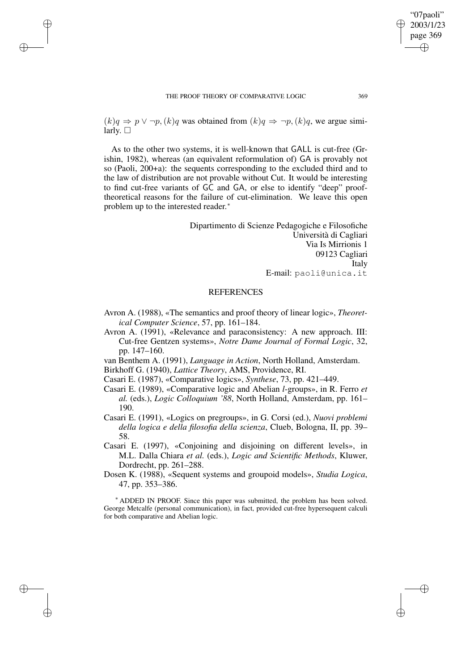✐

✐

✐

 $(k)q \Rightarrow p \vee \neg p, (k)q$  was obtained from  $(k)q \Rightarrow \neg p, (k)q$ , we argue similarly.  $\square$ 

As to the other two systems, it is well-known that GALL is cut-free (Grishin, 1982), whereas (an equivalent reformulation of) GA is provably not so (Paoli, 200+a): the sequents corresponding to the excluded third and to the law of distribution are not provable without Cut. It would be interesting to find cut-free variants of GC and GA, or else to identify "deep" prooftheoretical reasons for the failure of cut-elimination. We leave this open problem up to the interested reader.<sup>\*</sup>

> Dipartimento di Scienze Pedagogiche e Filosofiche Università di Cagliari Via Is Mirrionis 1 09123 Cagliari Italy E-mail: paoli@unica.it

## **REFERENCES**

- Avron A. (1988), «The semantics and proof theory of linear logic», *Theoretical Computer Science*, 57, pp. 161–184.
- Avron A. (1991), «Relevance and paraconsistency: A new approach. III: Cut-free Gentzen systems», *Notre Dame Journal of Formal Logic*, 32, pp. 147–160.
- van Benthem A. (1991), *Language in Action*, North Holland, Amsterdam.

Birkhoff G. (1940), *Lattice Theory*, AMS, Providence, RI.

Casari E. (1987), «Comparative logics», *Synthese*, 73, pp. 421–449.

- Casari E. (1989), «Comparative logic and Abelian *l*-groups», in R. Ferro *et al.* (eds.), *Logic Colloquium '88*, North Holland, Amsterdam, pp. 161– 190.
- Casari E. (1991), «Logics on pregroups», in G. Corsi (ed.), *Nuovi problemi della logica e della filosofia della scienza*, Clueb, Bologna, II, pp. 39– 58.
- Casari E. (1997), «Conjoining and disjoining on different levels», in M.L. Dalla Chiara *et al.* (eds.), *Logic and Scientific Methods*, Kluwer, Dordrecht, pp. 261–288.
- Dosen K. (1988), «Sequent systems and groupoid models», *Studia Logica*, 47, pp. 353–386.

<sup>∗</sup> ADDED IN PROOF. Since this paper was submitted, the problem has been solved. George Metcalfe (personal communication), in fact, provided cut-free hypersequent calculi for both comparative and Abelian logic.

"07paoli" 2003/1/23 page 369

✐

✐

✐